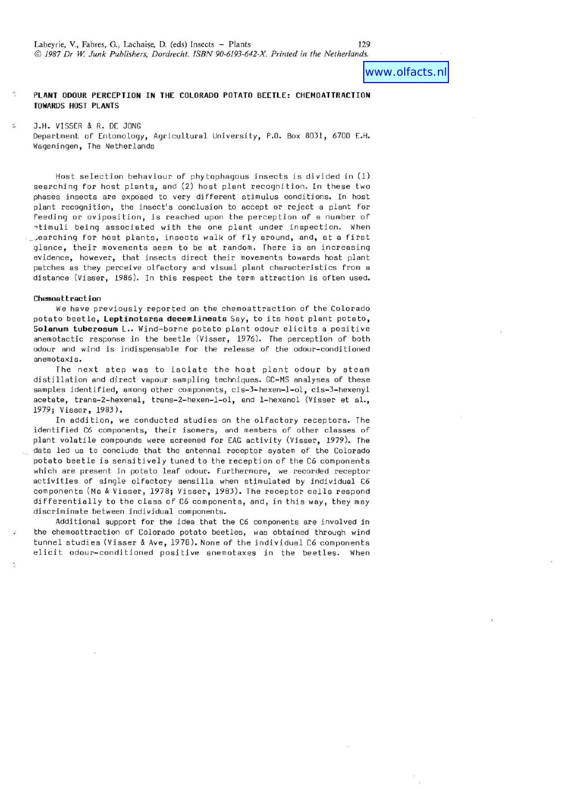# www.olfacts.nl

## **PLANT ODOUR PERCEPTION IN THE COLORADO POTATO BEETLE: CHEMOATTRACTION TOWARDS HOST PLANTS**

J.H. VISSER & R. DE JONG

Department of Entomology, Agricultural University, P.O. Box 8031, 6700 E.H. Wageningen, The Netherlands

Host selection behaviour of phytophagous insects is divided in (1) searching For host plants, and (2) host plant recogni tion. In these two phases insects are exposed to very diFFerent stimulus conditions. In host plant recognition, the insect's conclusion to accept or reject a plant For Feeding or oviposition, is reached upon the perception of a number of atimuli being associated with the one plant under inspection. When \_ ,earching For host plants, insects walk of Fly around, and, at a first glance, their movements seem to be at random. There is an increasing evidence, however, that insects direct their movements towards host plant patches as they perceive olfactory and visual plant characteristics from a distance (Visser, 1986). In this respect the term attraction is often used.

### **Chemoattraction**

We have previously reported on the chemoattraction of the Colorado potato beetle, **Leptinotarsa decemlineata** Say, to its host plant potato, Solanum tuberosum L.. Wind-borne potato plant odour elicits a positive anemotactic response in the beetle (Visser, *1976).* The perception of both odour and wind is indispensable for the release of the odour-conditioned anemotaxis.

The next step was to isolate the host plant odour by steam distillation and direct vapour sampling techniques. GC-MS analyses of these samples identified, among other components, cis-3-hexen-l-ol, cis-3-hexenyl acetate, trans-2-hexenal, trans-2-hexen-l-ol, and I-hexanol (Visser et al., *1979;* Visser, *1983).* 

In addition, we conducted studies on the olfactory receptors. The identified C6 components, their isomers, and members of other classes of plant volatile compounds were screened for EAG activity (Visser, 1979). The data led us to conclude that the antennal receptor system of the Colorado potato beetle is sensitively tuned to the reception of the C6 components which are present in potato leaf odour. Furthermore, we recorded receptor activities of single olfactory sensilla when stimulated by individual C6 components (Ma & Visser, *1978;* Visser, *1983).* The receptor cells respond differentially to the class of C6 components, and, in this way, they may discriminate between individual components.

Additional support for the idea that the C6 components are involved in the chemoattraction of Colorado potato beetles, was obtained through wind tunnel studies (Visser & Ave, *1978).* None of the individual C6 components elicit odour-conditioned positive anemotaxes in the beetles. When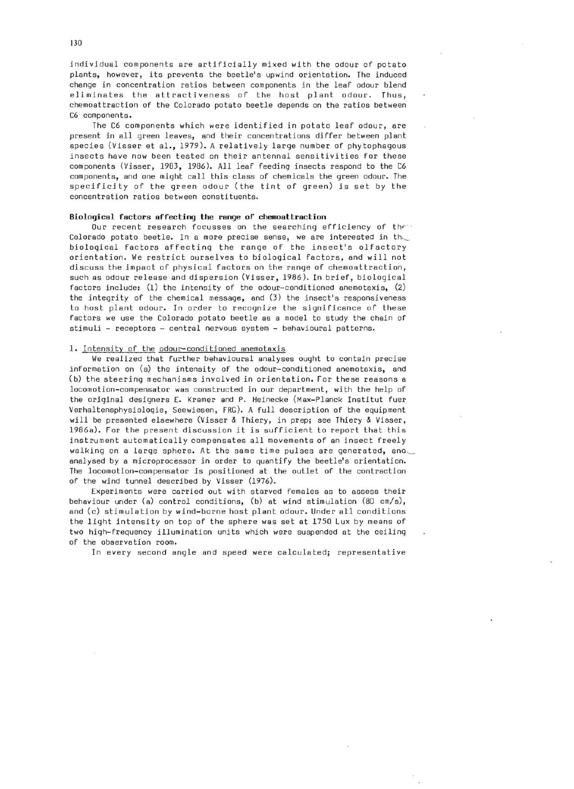individual components are artificially mixed with the odour of potato plants, however, its prevents the beetle's upwind orientation. The induced change in concentration ratios between components in the leaf odour blend eliminates the attractiveness of the host plant odour. Thus, chemoattraction of the Colorado potato beetle depends on the ratios between C6 components.

The C6 components which were identified in potato leaf odour, are present in all green leaves, and their concentrations differ between plant species (Visser et aI., 1979). A relatively large number of phytophagous insects have now been tested on their antennal sensitivities for these components (Visser, 1983, 1986). All leaf feeding insects respond to the C6 components, and one might call this class of chemicals the green odour. The specificity of the green odour (the tint of green) is set by the concentration ratios between constituents.

# **Biological factors affecting the range of chemoattraction**

Our recent research focusses on the searching efficiency of the Colorado potato beetle. In a more precise sense, we are interested in the biological factors affecting the range of the insect's olfactory orientation. We restrict ourselves to biological factors, and will not discuss the impact of physical factors on the range of chemoattraction, such as odour release and dispersion (Visser, 1986). In brief, biological factors include: (1) the intensity of the odour-conditioned anemotaxis, (2) the integrity of the chemical message, and (3) the insect's responsiveness to host plant odour. In order to recognize the significance of these factors we use the Colorado potato beetle as a model to study the chain of stimuli - receptors - central nervous system - behavioural patterns.

## 1. Intensity of the odour-conditioned anemotaxis

We realized that further behavioural analyses ought to contain precise information on (a) the intensity of the odour-conditioned anemotaxis, and (b) the steering mechanisms involved in orientation. For these reasons a locomotion-compensator was constructed in our department, with the help of the original designers E. Kramer and P. Heinecke (Max-Planck Institut fuer Verhaltensphysiologie, Seewiesen, FRG). A full description of the equipment will be presented elsewhere (Visser & Thiery, in prep; see Thiery & Visser, 1986a). For the present discussion it is sufficient to report that this instrument automatically compensates all movements of an insect freely walking on a large sphere. At the same time pulses are generated, ano analysed by a microprocessor in order to quantify the beetle's orientation. The locomotion-compensator is positioned at the outlet of the contraction of the wind tunnel described by Visser (1976).

Experiments were carried out with starved females as to assess their behaviour under (a) control conditions, (b) at wind stimulation (80 cm/s), and (c) stimulation by wind-borne host plant odour. Under all conditions the light intensity on top of the sphere was set at 1750 Lux by means of two high-frequency illumination units which were suspended at the ceiling of the observation room.

In every second angle and speed were calculated; representative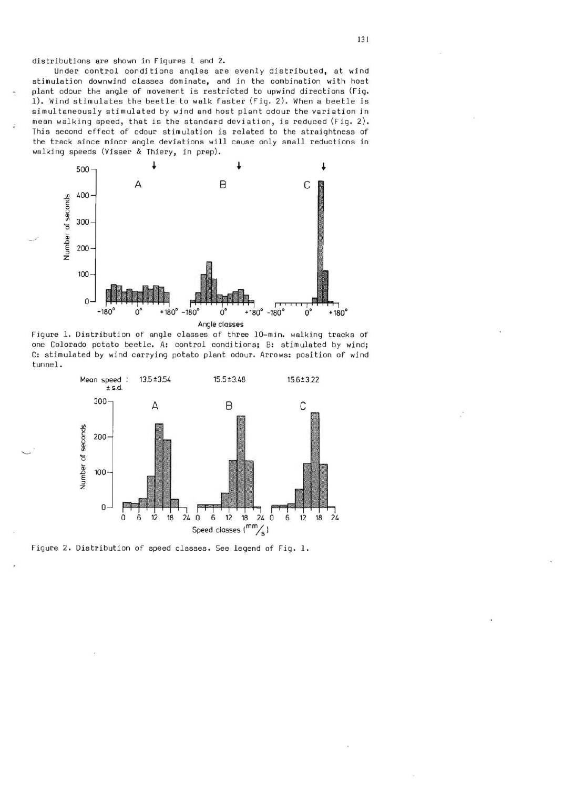distributions are shown in Figures 1 and 2.

Under control conditions angles are evenly distributed, at wind stimulation downwind classes dominate, and in the combination with host plant odour the angle of movement is restricted to upwind directions (Fig. 1). Wind stimulates the beetle to walk faster (Fig. 2). When a beetle is simultaneously stimulated by wind and host plant odour the variation in mean walking speed, that is the standard deviation, is reduced (Fig. 2). This second effect of odour stimulation is related to the straightness of the track since minor angle deviations will cause only small reductions in walking speeds (Visser & Thiery, in prep).



Figure 1. Distribution of angle classes of three 10-min. walking tracks of one Colorado potato beetle. A: control conditions; B: stimulated by wind; C: stimulated by wind carrying potato plant odour. Arrows: position of wind tunnel.



Figure 2. Distribution of speed classes. See legend of Fig. 1.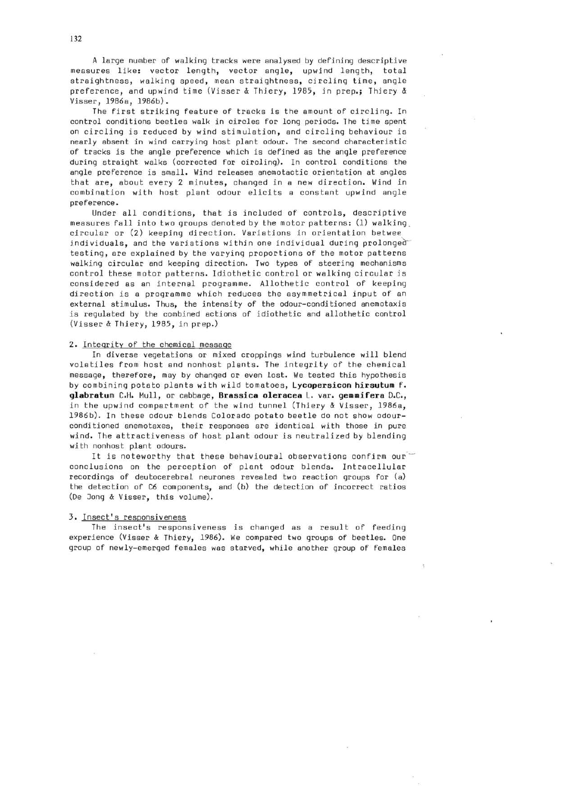A large number of walking tracks were analysed by defining descriptive measures like: vector length, vector angle, upwind length, total straightness, walking speed, mean straightness, circling time, angle preference, and upwind time (Visser & Thiery, 19B5, in prep.; Thiery & Visser, 19B6a, 19B6b).

The first striking feature of tracks is the amount of circling. In control conditions beetles walk in circles for long periods. The time spent on circling is reduced by wind stimulation, and circling behaviour is nearly absent in wind carrying host plant odour. The second characteristic of tracks is the angle preference which is defined as the angle preference during straight walks (corrected for circling). In control conditions the angle preference is small. Wind releases anemotactic orientation at angles that are, about every 2 minutes, changed in a new direction. Wind in combination with host plant odour elicits a constant upwind angle preference.

Under all conditions, that is included of controls, descriptive measures fall into two groups denoted by the motor patterns: (1) walking circular or (2) keeping direction. Variations in orientation betwee individuals, and the variations within one individual during prolonged testing, are explained by the varying proportions of the motor patterns walking circular and keeping direction. Two types of steering mechanisms control these motor patterns. Idiothetic control or walking circular is considered as an internal programme. Allothetic control of keeping direction is a programme which reduces the asymmetrical input of an external stimulus. Thus, the intensity of the odour-conditioned anemotaxis is regulated by the combined actions of idiothetic and allothetic control (Visser & Thiery, 19B5, in prep.)

#### 2. Integrity of the chemical message

In diverse vegetations or mixed croppings wind turbulence will blend volatiles from host and nonhost plants. The integrity of the chemical message, therefore, may by changed or even lost. We tested this hypothesis by combining potato plants with wild tomatoes, **Lycopersicon hirsutum** f. **glabratum** C.H. Mull, or cabbage, **Brassica oleracea** L. var. **gemmifera** D.C., in the upwind compartment of the wind tunnel (Thiery & Visser, 19B6a, 19B6b). In these odour blends Colorado potato beetle do not show odourconditioned anemotaxes, their responses are identical with those in pure wind. The attractiveness of host plant odour is neutralized by blending with nonhost plant odours.

It is noteworthy that these behavioural observations confirm our conclusions on the perception of plant odour blends. Intracellular recordings of deutocerebral neurones revealed two reaction groups for (a) the detection of C6 components, and (b) the detection of incorrect ratios (De Jong & Visser, this volume).

### 3. Insect's responsiveness

The insect's responsiveness is changed as a result of feeding experience (Visser & Thiery, 19B6). We compared two groups of beetles. One group of newly-emerged females was starved, while another group of females